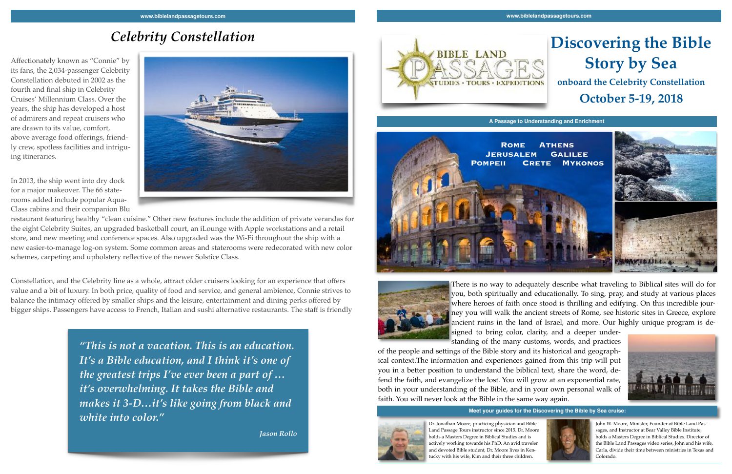# **Discovering the Bible Story by Sea onboard the Celebrity Constellation**

## **October 5-19, 2018**

**A Passage to Understanding and Enrichment**



# *Celebrity Constellation*

Affectionately known as "Connie" by its fans, the 2,034-passenger Celebrity Constellation debuted in 2002 as the fourth and final ship in Celebrity Cruises' Millennium Class. Over the years, the ship has developed a host of admirers and repeat cruisers who are drawn to its value, comfort, above average food offerings, friendly crew, spotless facilities and intriguing itineraries.

In 2013, the ship went into dry dock for a major makeover. The 66 staterooms added include popular Aqua-Class cabins and their companion Blu



restaurant featuring healthy "clean cuisine." Other new features include the addition of private verandas for the eight Celebrity Suites, an upgraded basketball court, an iLounge with Apple workstations and a retail store, and new meeting and conference spaces. Also upgraded was the Wi-Fi throughout the ship with a new easier-to-manage log-on system. Some common areas and staterooms were redecorated with new color schemes, carpeting and upholstery reflective of the newer Solstice Class.

Constellation, and the Celebrity line as a whole, attract older cruisers looking for an experience that offers value and a bit of luxury. In both price, quality of food and service, and general ambience, Connie strives to balance the intimacy offered by smaller ships and the leisure, entertainment and dining perks offered by bigger ships. Passengers have access to French, Italian and sushi alternative restaurants. The staff is friendly





There is no way to adequately describe what traveling to Biblical sites will do for you, both spiritually and educationally. To sing, pray, and study at various places where heroes of faith once stood is thrilling and edifying. On this incredible journey you will walk the ancient streets of Rome, see historic sites in Greece, explore ancient ruins in the land of Israel, and more. Our highly unique program is designed to bring color, clarity, and a deeper under-

standing of the many customs, words, and practices of the people and settings of the Bible story and its historical and geographical context.The information and experiences gained from this trip will put you in a better position to understand the biblical text, share the word, defend the faith, and evangelize the lost. You will grow at an exponential rate, both in your understanding of the Bible, and in your own personal walk of faith. You will never look at the Bible in the same way again.



Dr. Jonathan Moore, practicing physician and Bible Land Passage Tours instructor since 2015. Dr. Moore holds a Masters Degree in Biblical Studies and is actively working towards his PhD. An avid traveler and devoted Bible student, Dr. Moore lives in Kentucky with his wife, Kim and their three children.

John W. Moore, Minister, Founder of Bible Land Passages, and Instructor at Bear Valley Bible Institute, holds a Masters Degree in Biblical Studies. Director of the Bible Land Passages video series, John and his wife, Carla, divide their time between ministries in Texas and Colorado.

**Meet your guides for the Discovering the Bible by Sea cruise:**



*"This is not a vacation. This is an education. It's a Bible education, and I think it's one of the greatest trips I've ever been a part of … it's overwhelming. It takes the Bible and makes it 3-D…it's like going from black and white into color."*

*Jason Rollo*